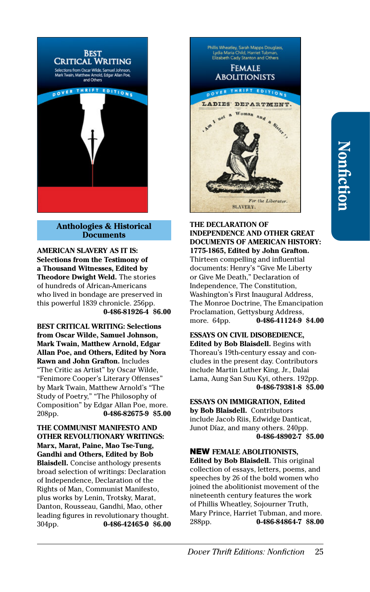

## **Anthologies & Historical Documents**

**AMERICAN SLAVERY AS IT IS: Selections from the Testimony of a Thousand Witnesses, Edited by Theodore Dwight Weld.** The stories of hundreds of African-Americans who lived in bondage are preserved in this powerful 1839 chronicle. 256pp. **[0-486-81926-4](http://store.doverpublications.com/0486819264.html) \$6.00**

**BEST CRITICAL WRITING: Selections from Oscar Wilde, Samuel Johnson, Mark Twain, Matthew Arnold, Edgar Allan Poe, and Others, Edited by Nora Rawn and John Grafton.** Includes "The Critic as Artist" by Oscar Wilde, "Fenimore Cooper's Literary Offenses" by Mark Twain, Matthew Arnold's "The Study of Poetry," "The Philosophy of Composition" by Edgar Allan Poe, more. 208pp. **[0-486-82675-9](http://store.doverpublications.com/0486826759.html) \$5.00**

**THE COMMUNIST MANIFESTO AND OTHER REVOLUTIONARY WRITINGS: Marx, Marat, Paine, Mao Tse-Tung, Gandhi and Others, Edited by Bob Blaisdell.** Concise anthology presents broad selection of writings: Declaration of Independence, Declaration of the Rights of Man, Communist Manifesto, plus works by Lenin, Trotsky, Marat, Danton, Rousseau, Gandhi, Mao, other leading figures in revolutionary thought. 304pp. **[0-486-42465-0](http://store.doverpublications.com/0486424650.html) \$6.00**



# **THE DECLARATION OF INDEPENDENCE AND OTHER GREAT DOCUMENTS OF AMERICAN HISTORY:**

**1775-1865, Edited by John Grafton.**  Thirteen compelling and influential documents: Henry's "Give Me Liberty or Give Me Death," Declaration of Independence, The Constitution, Washington's First Inaugural Address, The Monroe Doctrine, The Emancipation Proclamation, Gettysburg Address, more. 64pp. **[0-486-41124-9](http://store.doverpublications.com/0486411249.html) \$4.00**

**ESSAYS ON CIVIL DISOBEDIENCE, Edited by Bob Blaisdell.** Begins with Thoreau's 19th-century essay and concludes in the present day. Contributors include Martin Luther King, Jr., Dalai Lama, Aung San Suu Kyi, others. 192pp. **[0-486-79381-8](http://store.doverpublications.com/0486793818.html) \$5.00**

**ESSAYS ON IMMIGRATION, Edited by Bob Blaisdell.** Contributors include Jacob Riis, Edwidge Danticat, Junot Díaz, and many others. 240pp. **[0-486-48902-7](http://store.doverpublications.com/0486489027.html) \$5.00**

NEW **FEMALE ABOLITIONISTS, Edited by Bob Blaisdell.** This original collection of essays, letters, poems, and speeches by 26 of the bold women who joined the abolitionist movement of the nineteenth century features the work of Phillis Wheatley, Sojourner Truth, Mary Prince, Harriet Tubman, and more. 288pp. **[0-486-84864-7](http://store.doverpublications.com/0486848647.html) \$8.00**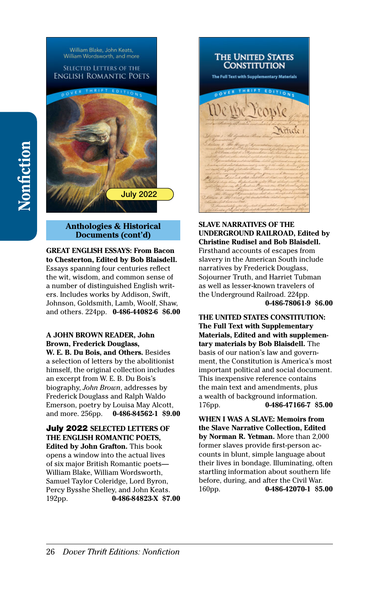

## **Anthologies & Historical Documents (cont'd)**

#### **GREAT ENGLISH ESSAYS: From Bacon to Chesterton, Edited by Bob Blaisdell.**  Essays spanning four centuries reflect the wit, wisdom, and common sense of a number of distinguished English writers. Includes works by Addison, Swift, Johnson, Goldsmith, Lamb, Woolf, Shaw, and others. 224pp. **[0-486-44082-6](http://store.doverpublications.com/0486440826.html) \$6.00**

## **A JOHN BROWN READER, John Brown, Frederick Douglass,**

**W. E. B. Du Bois, and Others.** Besides a selection of letters by the abolitionist himself, the original collection includes an excerpt from W. E. B. Du Bois's biography, *John Brown*, addresses by Frederick Douglass and Ralph Waldo Emerson, poetry by Louisa May Alcott, and more. 256pp. **[0-486-84562-1](http://store.doverpublications.com/0486845621.html) \$9.00**

July 2022 **SELECTED LETTERS OF THE ENGLISH ROMANTIC POETS, Edited by John Grafton.** This book opens a window into the actual lives of six major British Romantic poets— William Blake, William Wordsworth, Samuel Taylor Coleridge, Lord Byron, Percy Bysshe Shelley, and John Keats. 192pp. **[0-486-84823-X](http://store.doverpublications.com/048684823x.html) \$7.00**



#### **SLAVE NARRATIVES OF THE UNDERGROUND RAILROAD, Edited by Christine Rudisel and Bob Blaisdell.**

Firsthand accounts of escapes from slavery in the American South include narratives by Frederick Douglass, Sojourner Truth, and Harriet Tubman as well as lesser-known travelers of the Underground Railroad. 224pp. **[0-486-78061-9](http://store.doverpublications.com/0486780619.html) \$6.00**

**THE UNITED STATES CONSTITUTION: The Full Text with Supplementary Materials, Edited and with supplementary materials by Bob Blaisdell.** The basis of our nation's law and government, the Constitution is America's most important political and social document. This inexpensive reference contains the main text and amendments, plus a wealth of background information. 176pp. **[0-486-47166-7](http://store.doverpublications.com/0486471667.html) \$5.00**

**WHEN I WAS A SLAVE: Memoirs from the Slave Narrative Collection, Edited by Norman R. Yetman.** More than 2,000 former slaves provide first-person accounts in blunt, simple language about their lives in bondage. Illuminating, often startling information about southern life before, during, and after the Civil War. 160pp. **[0-486-42070-1](http://store.doverpublications.com/0486420701.html) \$5.00**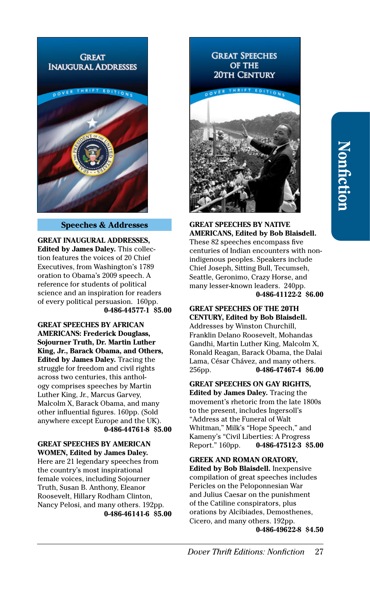## **GREAT INAUGURAL ADDRESSES**



#### **Speeches & Addresses**

**GREAT INAUGURAL ADDRESSES, Edited by James Daley.** This collection features the voices of 20 Chief Executives, from Washington's 1789 oration to Obama's 2009 speech. A reference for students of political science and an inspiration for readers of every political persuasion. 160pp. **[0-486-44577-1](http://store.doverpublications.com/0486445771.html) \$5.00**

**GREAT SPEECHES BY AFRICAN AMERICANS: Frederick Douglass, Sojourner Truth, Dr. Martin Luther King, Jr., Barack Obama, and Others, Edited by James Daley.** Tracing the struggle for freedom and civil rights across two centuries, this anthology comprises speeches by Martin Luther King, Jr., Marcus Garvey, Malcolm X, Barack Obama, and many other influential figures. 160pp. (Sold anywhere except Europe and the UK). **[0-486-44761-8](http://store.doverpublications.com/0486447618.html) \$5.00**

#### **GREAT SPEECHES BY AMERICAN WOMEN, Edited by James Daley.**

Here are 21 legendary speeches from the country's most inspirational female voices, including Sojourner Truth, Susan B. Anthony, Eleanor Roosevelt, Hillary Rodham Clinton, Nancy Pelosi, and many others. 192pp. **[0-486-46141-6](http://store.doverpublications.com/0486461416.html) \$5.00**

# **GREAT SPEECHES OF THE 20TH CENTURY**



**GREAT SPEECHES BY NATIVE AMERICANS, Edited by Bob Blaisdell.**  These 82 speeches encompass five centuries of Indian encounters with nonindigenous peoples. Speakers include Chief Joseph, Sitting Bull, Tecumseh, Seattle, Geronimo, Crazy Horse, and many lesser-known leaders. 240pp. **[0-486-41122-2](http://store.doverpublications.com/0486411222.html) \$6.00**

#### **GREAT SPEECHES OF THE 20TH CENTURY, Edited by Bob Blaisdell.**

Addresses by Winston Churchill, Franklin Delano Roosevelt, Mohandas Gandhi, Martin Luther King, Malcolm X, Ronald Reagan, Barack Obama, the Dalai Lama, César Chávez, and many others. 256pp. **[0-486-47467-4](http://store.doverpublications.com/0486474674.html) \$6.00**

# **GREAT SPEECHES ON GAY RIGHTS,**

**Edited by James Daley.** Tracing the movement's rhetoric from the late 1800s to the present, includes Ingersoll's "Address at the Funeral of Walt Whitman," Milk's "Hope Speech," and Kameny's "Civil Liberties: A Progress Report." 160pp. **[0-486-47512-3](http://store.doverpublications.com/0486475123.html) \$5.00**

**GREEK AND ROMAN ORATORY, Edited by Bob Blaisdell.** Inexpensive compilation of great speeches includes Pericles on the Peloponnesian War and Julius Caesar on the punishment of the Catiline conspirators, plus orations by Alcibiades, Demosthenes, Cicero, and many others. 192pp. **[0-486-49622-8](http://store.doverpublications.com/0486496228.html) \$4.50**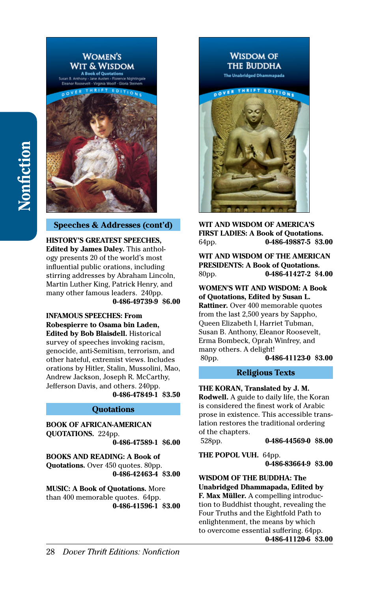

# **Speeches & Addresses (cont'd)**

**HISTORY'S GREATEST SPEECHES, Edited by James Daley.** This anthology presents 20 of the world's most influential public orations, including stirring addresses by Abraham Lincoln, Martin Luther King, Patrick Henry, and many other famous leaders. 240pp. **[0-486-49739-9](http://store.doverpublications.com/0486497399.html) \$6.00**

**INFAMOUS SPEECHES: From Robespierre to Osama bin Laden, Edited by Bob Blaisdell.** Historical survey of speeches invoking racism, genocide, anti-Semitism, terrorism, and other hateful, extremist views. Includes orations by Hitler, Stalin, Mussolini, Mao, Andrew Jackson, Joseph R. McCarthy, Jefferson Davis, and others. 240pp. **[0-486-47849-1](http://store.doverpublications.com/0486478491.html) \$3.50**

## **Quotations**

**BOOK OF AFRICAN-AMERICAN QUOTATIONS.** 224pp.

**[0-486-47589-1](http://store.doverpublications.com/0486475891.html) \$6.00**

**BOOKS AND READING: A Book of Quotations.** Over 450 quotes. 80pp. **[0-486-42463-4](http://store.doverpublications.com/0486424634.html) \$3.00**

**MUSIC: A Book of Quotations.** More than 400 memorable quotes. 64pp. **[0-486-41596-1](http://store.doverpublications.com/0486415961.html) \$3.00**



**WIT AND WISDOM OF AMERICA'S FIRST LADIES: A Book of Quotations.**  64pp. **[0-486-49887-5](http://store.doverpublications.com/0486498875.html) \$3.00**

**WIT AND WISDOM OF THE AMERICAN PRESIDENTS: A Book of Quotations.**  80pp. **[0-486-41427-2](http://store.doverpublications.com/0486414272.html) \$4.00**

**WOMEN'S WIT AND WISDOM: A Book of Quotations, Edited by Susan L. Rattiner.** Over 400 memorable quotes from the last 2,500 years by Sappho, Queen Elizabeth I, Harriet Tubman, Susan B. Anthony, Eleanor Roosevelt, Erma Bombeck, Oprah Winfrey, and many others. A delight! 80pp. **[0-486-41123-0](http://store.doverpublications.com/0486411230.html) \$3.00**

#### **Religious Texts**

**THE KORAN, Translated by J. M. Rodwell.** A guide to daily life, the Koran is considered the finest work of Arabic prose in existence. This accessible translation restores the traditional ordering of the chapters. 528pp. **[0-486-44569-0](http://store.doverpublications.com/0486445690.html) \$8.00**

**THE POPOL VUH.** 64pp. **[0-486-83664-9](http://store.doverpublications.com/0486836649.html) \$3.00**

**WISDOM OF THE BUDDHA: The Unabridged Dhammapada, Edited by F. Max Müller.** A compelling introduction to Buddhist thought, revealing the Four Truths and the Eightfold Path to enlightenment, the means by which to overcome essential suffering. 64pp. **[0-486-41120-6](http://store.doverpublications.com/0486411206.html) \$3.00**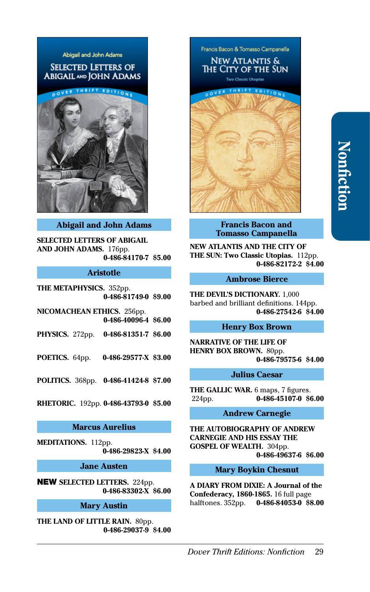# Abigail and John Adams **SELECTED LETTERS OF ABIGAIL AND JOHN ADAMS**



## **Abigail and John Adams**

**SELECTED LETTERS OF ABIGAIL AND JOHN ADAMS.** 176pp. **[0-486-84170-7](http://store.doverpublications.com/0486841707.html) \$5.00**

# **Aristotle**

**THE METAPHYSICS.** 352pp. **[0-486-81749-0](http://store.doverpublications.com/0486817490.html) \$9.00**

**NICOMACHEAN ETHICS.** 256pp. **[0-486-40096-4](http://store.doverpublications.com/0486400964.html) \$6.00**

**PHYSICS.** 272pp. **[0-486-81351-7](http://store.doverpublications.com/0486813517.html) \$6.00**

**POETICS.** 64pp. **[0-486-29577-X](http://store.doverpublications.com/048629577x.html) \$3.00**

**POLITICS.** 368pp. **[0-486-41424-8](http://store.doverpublications.com/0486414248.html) \$7.00**

**RHETORIC.** 192pp. **[0-486-43793-0](http://store.doverpublications.com/0486437930.html) \$5.00**

#### **Marcus Aurelius**

**MEDITATIONS.** 112pp. **[0-486-29823-X](http://store.doverpublications.com/048629823x.html) \$4.00**

**Jane Austen**

NEW **SELECTED LETTERS.** 224pp. **[0-486-83302-X](http://store.doverpublications.com/048683302x.html) \$6.00**

# **Mary Austin**

**THE LAND OF LITTLE RAIN.** 80pp. **[0-486-29037-9](http://store.doverpublications.com/0486290379.html) \$4.00** Francis Bacon & Tomasso Campanella **NEW ATLANTIS &** The City of the Sun **Two Classic Utopias** 



#### **Francis Bacon and Tomasso Campanella**

**NEW ATLANTIS AND THE CITY OF THE SUN: Two Classic Utopias.** 112pp. **[0-486-82172-2](http://store.doverpublications.com/0486821722.html) \$4.00**

## **Ambrose Bierce**

**THE DEVIL'S DICTIONARY.** 1,000 barbed and brilliant definitions. 144pp. **[0-486-27542-6](http://store.doverpublications.com/0486275426.html) \$4.00**

#### **Henry Box Brown**

**NARRATIVE OF THE LIFE OF HENRY BOX BROWN.** 80pp. **[0-486-79575-6](http://store.doverpublications.com/0486795756.html) \$4.00**

#### **Julius Caesar**

**THE GALLIC WAR.** 6 maps, 7 figures. 224pp. **[0-486-45107-0](http://store.doverpublications.com/0486451070.html) \$6.00**

# **Andrew Carnegie**

**THE AUTOBIOGRAPHY OF ANDREW CARNEGIE AND HIS ESSAY THE GOSPEL OF WEALTH.** 304pp. **[0-486-49637-6](http://store.doverpublications.com/0486496376.html) \$6.00**

#### **Mary Boykin Chesnut**

**A DIARY FROM DIXIE: A Journal of the Confederacy, 1860-1865.** 16 full page halftones. 352pp. **[0-486-84053-0](http://store.doverpublications.com/0486840530.html) \$8.00**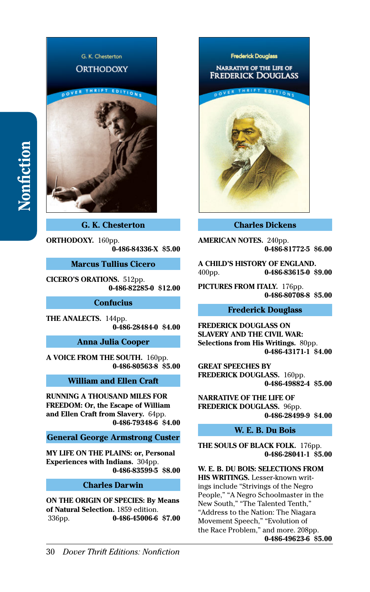

**G. K. Chesterton**

**ORTHODOXY.** 160pp. **[0-486-84336-X](http://store.doverpublications.com/048684336x.html) \$5.00**

**Marcus Tullius Cicero**

**CICERO'S ORATIONS.** 512pp. **[0-486-82285-0](http://store.doverpublications.com/0486822850.html) \$12.00**

**Confucius**

**THE ANALECTS.** 144pp. **[0-486-28484-0](http://store.doverpublications.com/0486284840.html) \$4.00**

**Anna Julia Cooper**

**A VOICE FROM THE SOUTH.** 160pp. **[0-486-80563-8](http://store.doverpublications.com/0486805638.html) \$5.00**

**William and Ellen Craft**

**RUNNING A THOUSAND MILES FOR FREEDOM: Or, the Escape of William and Ellen Craft from Slavery.** 64pp. **[0-486-79348-6](http://store.doverpublications.com/0486793486.html) \$4.00**

**General George Armstrong Custer**

**MY LIFE ON THE PLAINS: or, Personal Experiences with Indians.** 304pp. **[0-486-83599-5](http://store.doverpublications.com/0486835995.html) \$8.00**

## **Charles Darwin**

**ON THE ORIGIN OF SPECIES: By Means of Natural Selection.** 1859 edition. 336pp. **[0-486-45006-6](http://store.doverpublications.com/0486450066.html) \$7.00**



#### **Charles Dickens**

**AMERICAN NOTES.** 240pp. **[0-486-81772-5](http://store.doverpublications.com/0486817725.html) \$6.00**

**A CHILD'S HISTORY OF ENGLAND.**  400pp. **[0-486-83615-0](http://store.doverpublications.com/0486836150.html) \$9.00**

**PICTURES FROM ITALY.** 176pp. **[0-486-80708-8](http://store.doverpublications.com/0486807088.html) \$5.00**

#### **Frederick Douglass**

**FREDERICK DOUGLASS ON SLAVERY AND THE CIVIL WAR: Selections from His Writings.** 80pp. **[0-486-43171-1](http://store.doverpublications.com/0486431711.html) \$4.00**

**GREAT SPEECHES BY FREDERICK DOUGLASS.** 160pp. **[0-486-49882-4](http://store.doverpublications.com/0486498824.html) \$5.00**

**NARRATIVE OF THE LIFE OF FREDERICK DOUGLASS.** 96pp. **[0-486-28499-9](http://store.doverpublications.com/0486284999.html) \$4.00**

# **W. E. B. Du Bois**

**THE SOULS OF BLACK FOLK.** 176pp. **[0-486-28041-1](http://store.doverpublications.com/0486280411.html) \$5.00**

**W. E. B. DU BOIS: SELECTIONS FROM HIS WRITINGS.** Lesser-known writings include "Strivings of the Negro People," "A Negro Schoolmaster in the New South," "The Talented Tenth," "Address to the Nation: The Niagara Movement Speech," "Evolution of the Race Problem," and more. 208pp. **[0-486-49623-6](http://store.doverpublications.com/0486496236.html) \$5.00**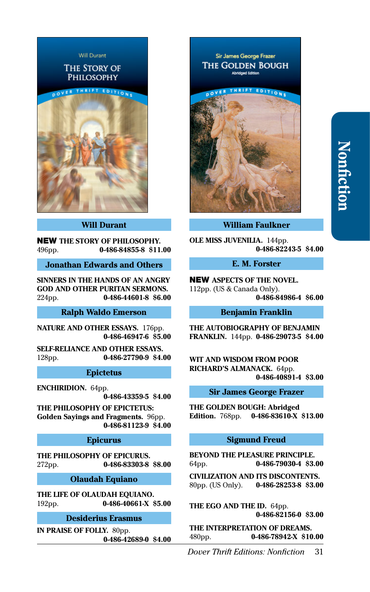

#### **Will Durant**

NEW **THE STORY OF PHILOSOPHY.**  496pp. **[0-486-84855-8](http://store.doverpublications.com/0486848558.html) \$11.00**

**Jonathan Edwards and Others**

**SINNERS IN THE HANDS OF AN ANGRY GOD AND OTHER PURITAN SERMONS.**  224pp. **[0-486-44601-8](http://store.doverpublications.com/0486446018.html) \$6.00**

#### **Ralph Waldo Emerson**

**NATURE AND OTHER ESSAYS.** 176pp. **[0-486-46947-6](http://store.doverpublications.com/0486469476.html) \$5.00**

**SELF-RELIANCE AND OTHER ESSAYS.**  128pp. **[0-486-27790-9](http://store.doverpublications.com/0486277909.html) \$4.00**

#### **Epictetus**

**ENCHIRIDION.** 64pp.

**[0-486-43359-5](http://store.doverpublications.com/0486433595.html) \$4.00**

**THE PHILOSOPHY OF EPICTETUS: Golden Sayings and Fragments.** 96pp. **[0-486-81123-9](http://store.doverpublications.com/0486811239.html) \$4.00**

#### **Epicurus**

**THE PHILOSOPHY OF EPICURUS.**  272pp. **[0-486-83303-8](http://store.doverpublications.com/0486833038.html) \$8.00**

**Olaudah Equiano**

**THE LIFE OF OLAUDAH EQUIANO.**  192pp. **[0-486-40661-X](http://store.doverpublications.com/048640661x.html) \$5.00**

#### **Desiderius Erasmus**

**IN PRAISE OF FOLLY.** 80pp. **[0-486-42689-0](http://store.doverpublications.com/0486426890.html) \$4.00**

Sir James George Frazer **THE GOLDEN BOUGH Abridged Fditio** 



**William Faulkner**

**OLE MISS JUVENILIA.** 144pp. **[0-486-82243-5](http://store.doverpublications.com/0486822435.html) \$4.00**

# **E. M. Forster**

NEW **ASPECTS OF THE NOVEL.**  112pp. (US & Canada Only). **[0-486-84986-4](http://store.doverpublications.com/0486849864.html) \$6.00**

#### **Benjamin Franklin**

**THE AUTOBIOGRAPHY OF BENJAMIN FRANKLIN.** 144pp. **[0-486-29073-5](http://store.doverpublications.com/0486290735.html) \$4.00**

**WIT AND WISDOM FROM POOR RICHARD'S ALMANACK.** 64pp. **[0-486-40891-4](http://store.doverpublications.com/0486408914.html) \$3.00**

#### **Sir James George Frazer**

**THE GOLDEN BOUGH: Abridged Edition.** 768pp. **[0-486-83610-X](http://store.doverpublications.com/048683610x.html) \$13.00**

#### **Sigmund Freud**

**BEYOND THE PLEASURE PRINCIPLE.**  64pp. **[0-486-79030-4](http://store.doverpublications.com/0486790304.html) \$3.00**

**CIVILIZATION AND ITS DISCONTENTS.**  80pp. (US Only). **[0-486-28253-8](http://store.doverpublications.com/0486282538.html) \$3.00**

**THE EGO AND THE ID.** 64pp. **[0-486-82156-0](http://store.doverpublications.com/0486821560.html) \$3.00**

**THE INTERPRETATION OF DREAMS.**  480pp. **[0-486-78942-X](http://store.doverpublications.com/048678942x.html) \$10.00**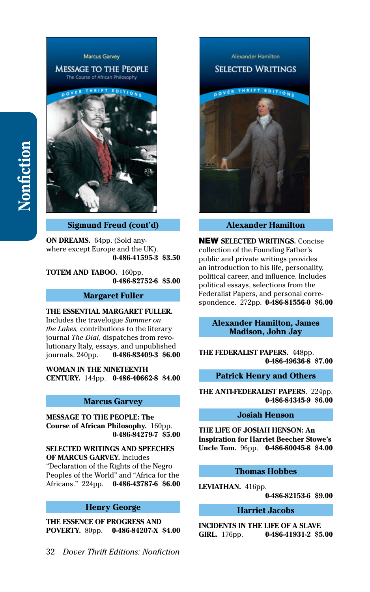#### **Marcus Garvey MESSAGE TO THE PEOPLE** The Course of African Philosophy THRIFT EDITION



**Sigmund Freud (cont'd)**

**ON DREAMS.** 64pp. (Sold anywhere except Europe and the UK). **[0-486-41595-3](http://store.doverpublications.com/0486415953.html) \$3.50**

**TOTEM AND TABOO.** 160pp. **[0-486-82752-6](http://store.doverpublications.com/0486827526.html) \$5.00**

## **Margaret Fuller**

#### **THE ESSENTIAL MARGARET FULLER.**

Includes the travelogue *Summer on the Lakes,* contributions to the literary journal *The Dial,* dispatches from revolutionary Italy, essays, and unpublished journals. 240pp. **[0-486-83409-3](http://store.doverpublications.com/0486834093.html) \$6.00**

**WOMAN IN THE NINETEENTH CENTURY.** 144pp. **[0-486-40662-8](http://store.doverpublications.com/0486406628.html) \$4.00**

# **Marcus Garvey**

**MESSAGE TO THE PEOPLE: The Course of African Philosophy.** 160pp. **[0-486-84279-7](http://store.doverpublications.com/0486842797.html) \$5.00**

**SELECTED WRITINGS AND SPEECHES OF MARCUS GARVEY.** Includes

"Declaration of the Rights of the Negro Peoples of the World" and "Africa for the Africans." 224pp. **[0-486-43787-6](http://store.doverpublications.com/0486437876.html) \$6.00**

# **Henry George**

**THE ESSENCE OF PROGRESS AND POVERTY.** 80pp. **[0-486-84207-X](http://store.doverpublications.com/048684207x.html) \$4.00**



**Alexander Hamilton**

NEW **SELECTED WRITINGS.** Concise collection of the Founding Father's public and private writings provides an introduction to his life, personality, political career, and influence. Includes political essays, selections from the Federalist Papers, and personal correspondence. 272pp. **[0-486-81556-0](http://store.doverpublications.com/0486815560.html) \$6.00**

#### **Alexander Hamilton, James Madison, John Jay**

**THE FEDERALIST PAPERS.** 448pp. **[0-486-49636-8](http://store.doverpublications.com/0486496368.html) \$7.00**

#### **Patrick Henry and Others**

**THE ANTI-FEDERALIST PAPERS.** 224pp. **[0-486-84345-9](http://store.doverpublications.com/0486843459.html) \$6.00**

#### **Josiah Henson**

**THE LIFE OF JOSIAH HENSON: An Inspiration for Harriet Beecher Stowe's Uncle Tom.** 96pp. **[0-486-80045-8](http://store.doverpublications.com/0486800458.html) \$4.00**

## **Thomas Hobbes**

**LEVIATHAN.** 416pp.

**[0-486-82153-6](http://store.doverpublications.com/0486821536.html) \$9.00**

# **Harriet Jacobs**

**INCIDENTS IN THE LIFE OF A SLAVE GIRL.** 176pp. **[0-486-41931-2](http://store.doverpublications.com/0486419312.html) \$5.00**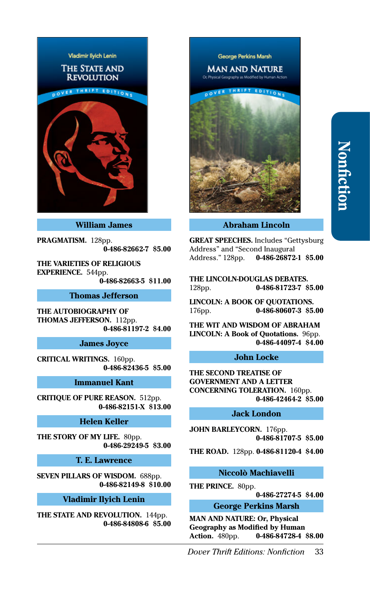

#### **William James**

**PRAGMATISM.** 128pp. **[0-486-82662-7](http://store.doverpublications.com/0486826627.html) \$5.00**

**THE VARIETIES OF RELIGIOUS EXPERIENCE.** 544pp. **[0-486-82663-5](http://store.doverpublications.com/0486826635.html) \$11.00**

## **Thomas Jefferson**

**THE AUTOBIOGRAPHY OF THOMAS JEFFERSON.** 112pp. **[0-486-81197-2](http://store.doverpublications.com/0486811972.html) \$4.00**

# **James Joyce**

**CRITICAL WRITINGS.** 160pp. **[0-486-82436-5](http://store.doverpublications.com/0486824365.html) \$5.00**

#### **Immanuel Kant**

**CRITIQUE OF PURE REASON.** 512pp. **[0-486-82151-X](http://store.doverpublications.com/048682151x.html) \$13.00**

# **Helen Keller**

**THE STORY OF MY LIFE.** 80pp. **[0-486-29249-5](http://store.doverpublications.com/0486292495.html) \$3.00**

**T. E. Lawrence**

**SEVEN PILLARS OF WISDOM.** 688pp. **[0-486-82149-8](http://store.doverpublications.com/0486821498.html) \$10.00**

#### **Vladimir Ilyich Lenin**

**THE STATE AND REVOLUTION.** 144pp. **[0-486-84808-6](http://store.doverpublications.com/0486848086.html) \$5.00** George Perkins Marsh

**MAN AND NATURE** 



**Abraham Lincoln**

**GREAT SPEECHES.** Includes "Gettysburg Address" and "Second Inaugural Address." 128pp. **[0-486-26872-1](http://store.doverpublications.com/0486268721.html) \$5.00**

**THE LINCOLN-DOUGLAS DEBATES.**  128pp. **[0-486-81723-7](http://store.doverpublications.com/0486817237.html) \$5.00**

**LINCOLN: A BOOK OF QUOTATIONS.**  176pp. **[0-486-80607-3](http://store.doverpublications.com/0486806073.html) \$5.00**

**THE WIT AND WISDOM OF ABRAHAM LINCOLN: A Book of Quotations.** 96pp. **[0-486-44097-4](http://store.doverpublications.com/0486440974.html) \$4.00**

#### **John Locke**

**THE SECOND TREATISE OF GOVERNMENT AND A LETTER CONCERNING TOLERATION.** 160pp. **[0-486-42464-2](http://store.doverpublications.com/0486424642.html) \$5.00**

#### **Jack London**

**JOHN BARLEYCORN.** 176pp. **[0-486-81707-5](http://store.doverpublications.com/0486817075.html) \$5.00**

**THE ROAD.** 128pp. **[0-486-81120-4](http://store.doverpublications.com/0486811204.html) \$4.00**

#### **Niccolò Machiavelli**

**THE PRINCE.** 80pp.

**[0-486-27274-5](http://store.doverpublications.com/0486272745.html) \$4.00**

#### **George Perkins Marsh**

**MAN AND NATURE: Or, Physical Geography as Modified by Human Action.** 480pp. **[0-486-84728-4](http://store.doverpublications.com/0486847284.html) \$8.00**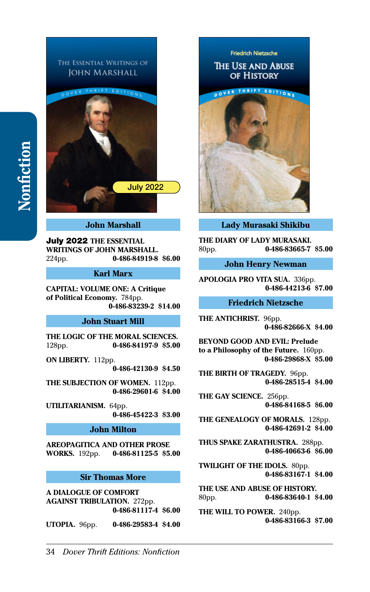

## **John Marshall**

July 2022 **THE ESSENTIAL WRITINGS OF JOHN MARSHALL.**  224pp. **[0-486-84919-8](http://store.doverpublications.com/0486849198.html) \$6.00**

## **Karl Marx**

**CAPITAL: VOLUME ONE: A Critique of Political Economy.** 784pp. **[0-486-83239-2](http://store.doverpublications.com/0486832392.html) \$14.00**

# **John Stuart Mill**

**THE LOGIC OF THE MORAL SCIENCES.**  128pp. **[0-486-84197-9](http://store.doverpublications.com/0486841979.html) \$5.00**

**ON LIBERTY.** 112pp. **[0-486-42130-9](http://store.doverpublications.com/0486421309.html) \$4.50**

**THE SUBJECTION OF WOMEN.** 112pp. **[0-486-29601-6](http://store.doverpublications.com/0486296016.html) \$4.00**

**UTILITARIANISM.** 64pp. **[0-486-45422-3](http://store.doverpublications.com/0486454223.html) \$3.00**

## **John Milton**

**AREOPAGITICA AND OTHER PROSE WORKS.** 192pp. **[0-486-81125-5](http://store.doverpublications.com/0486811255.html) \$5.00**

#### **Sir Thomas More**

**A DIALOGUE OF COMFORT AGAINST TRIBULATION.** 272pp. **[0-486-81117-4](http://store.doverpublications.com/0486811174.html) \$6.00**

**UTOPIA.** 96pp. **[0-486-29583-4](http://store.doverpublications.com/0486295834.html) \$4.00**

# **Friedrich Nietzsche** THE USE AND ABUSE OF HISTORY DOVER THRIFT EDITIONS



**Lady Murasaki Shikibu**

**THE DIARY OF LADY MURASAKI.**  80pp. **[0-486-83665-7](http://store.doverpublications.com/0486836657.html) \$5.00**

**John Henry Newman**

**APOLOGIA PRO VITA SUA.** 336pp. **[0-486-44213-6](http://store.doverpublications.com/0486442136.html) \$7.00**

#### **Friedrich Nietzsche**

**THE ANTICHRIST.** 96pp. **[0-486-82666-X](http://store.doverpublications.com/048682666x.html) \$4.00**

**BEYOND GOOD AND EVIL: Prelude to a Philosophy of the Future.** 160pp. **[0-486-29868-X](http://store.doverpublications.com/048629868x.html) \$5.00**

**THE BIRTH OF TRAGEDY.** 96pp. **[0-486-28515-4](http://store.doverpublications.com/0486285154.html) \$4.00**

**THE GAY SCIENCE.** 256pp. **[0-486-84168-5](http://store.doverpublications.com/0486841685.html) \$6.00**

**THE GENEALOGY OF MORALS.** 128pp. **[0-486-42691-2](http://store.doverpublications.com/0486426912.html) \$4.00**

**THUS SPAKE ZARATHUSTRA.** 288pp. **[0-486-40663-6](http://store.doverpublications.com/0486406636.html) \$6.00**

**TWILIGHT OF THE IDOLS.** 80pp. **[0-486-83167-1](http://store.doverpublications.com/0486831671.html) \$4.00**

**THE USE AND ABUSE OF HISTORY.**  80pp. **[0-486-83640-1](http://store.doverpublications.com/0486836401.html) \$4.00**

**THE WILL TO POWER.** 240pp. **[0-486-83166-3](http://store.doverpublications.com/0486831663.html) \$7.00**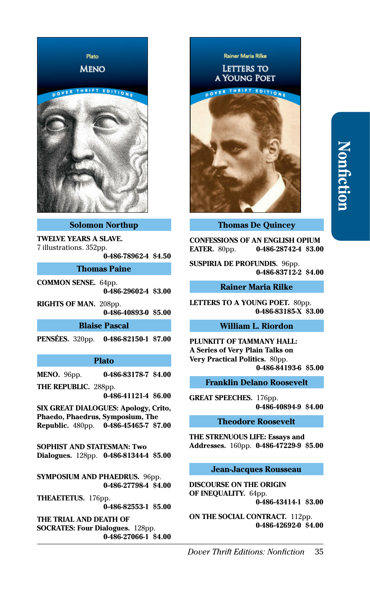

#### **Solomon Northup**

**TWELVE YEARS A SLAVE.**  7 illustrations. 352pp.

**[0-486-78962-4](http://store.doverpublications.com/0486789624.html) \$4.50**

**Thomas Paine**

**COMMON SENSE.** 64pp. **[0-486-29602-4](http://store.doverpublications.com/0486296024.html) \$3.00**

**RIGHTS OF MAN.** 208pp. **[0-486-40893-0](http://store.doverpublications.com/0486408930.html) \$5.00**

# **Blaise Pascal**

**PENSÉES.** 320pp. **[0-486-82150-1](http://store.doverpublications.com/0486821501.html) \$7.00**

#### **Plato**

**MENO.** 96pp. **[0-486-83178-7](http://store.doverpublications.com/0486831787.html) \$4.00**

**THE REPUBLIC.** 288pp.

**[0-486-41121-4](http://store.doverpublications.com/0486411214.html) \$6.00**

**SIX GREAT DIALOGUES: Apology, Crito, Phaedo, Phaedrus, Symposium, The Republic.** 480pp. **[0-486-45465-7](http://store.doverpublications.com/0486454657.html) \$7.00**

**SOPHIST AND STATESMAN: Two Dialogues.** 128pp. **[0-486-81344-4](http://store.doverpublications.com/0486813444.html) \$5.00**

**SYMPOSIUM AND PHAEDRUS. 96pp. [0-486-27798-4](http://store.doverpublications.com/0486277984.html) \$4.00**

**THEAETETUS.** 176pp. **[0-486-82553-1](http://store.doverpublications.com/0486825531.html) \$5.00**

**THE TRIAL AND DEATH OF SOCRATES: Four Dialogues.** 128pp. **[0-486-27066-1](http://store.doverpublications.com/0486270661.html) \$4.00**

Rainer Maria Rilke **LETTERS TO A YOUNG POET** 



**Thomas De Quincey**

**CONFESSIONS OF AN ENGLISH OPIUM EATER.** 80pp. **[0-486-28742-4](http://store.doverpublications.com/0486287424.html) \$3.00**

**SUSPIRIA DE PROFUNDIS.** 96pp. **[0-486-83712-2](http://store.doverpublications.com/0486837122.html) \$4.00**

#### **Rainer Maria Rilke**

**LETTERS TO A YOUNG POET.** 80pp. **[0-486-83185-X](http://store.doverpublications.com/048683185x.html) \$3.00**

# **William L. Riordon**

**PLUNKITT OF TAMMANY HALL: A Series of Very Plain Talks on Very Practical Politics.** 80pp. **[0-486-84193-6](http://store.doverpublications.com/0486841936.html) \$5.00**

#### **Franklin Delano Roosevelt**

**GREAT SPEECHES.** 176pp. **[0-486-40894-9](http://store.doverpublications.com/0486408949.html) \$4.00**

#### **Theodore Roosevelt**

**THE STRENUOUS LIFE: Essays and Addresses.** 160pp. **[0-486-47229-9](http://store.doverpublications.com/0486472299.html) \$5.00**

# **Jean-Jacques Rousseau**

**DISCOURSE ON THE ORIGIN OF INEQUALITY.** 64pp. **[0-486-43414-1](http://store.doverpublications.com/0486434141.html) \$3.00**

**ON THE SOCIAL CONTRACT.** 112pp. **[0-486-42692-0](http://store.doverpublications.com/0486426920.html) \$4.00**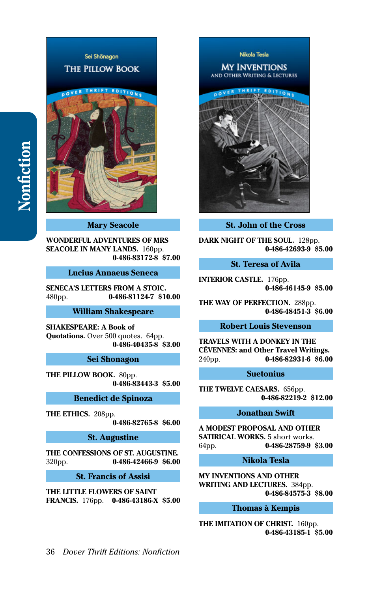

# **Mary Seacole**

**WONDERFUL ADVENTURES OF MRS SEACOLE IN MANY LANDS.** 160pp. **[0-486-83172-8](http://store.doverpublications.com/0486831728.html) \$7.00**

## **Lucius Annaeus Seneca**

**SENECA'S LETTERS FROM A STOIC.**  480pp. **[0-486-81124-7](http://store.doverpublications.com/0486811247.html) \$10.00**

#### **William Shakespeare**

**SHAKESPEARE: A Book of Quotations.** Over 500 quotes. 64pp. **[0-486-40435-8](http://store.doverpublications.com/0486404358.html) \$3.00**

**Sei Shonagon**

**THE PILLOW BOOK.** 80pp. **[0-486-83443-3](http://store.doverpublications.com/0486834433.html) \$5.00**

#### **Benedict de Spinoza**

**THE ETHICS.** 208pp.

**[0-486-82765-8](http://store.doverpublications.com/0486827658.html) \$6.00**

**St. Augustine**

**THE CONFESSIONS OF ST. AUGUSTINE.**  320pp. **[0-486-42466-9](http://store.doverpublications.com/0486424669.html) \$6.00**

**St. Francis of Assisi**

**THE LITTLE FLOWERS OF SAINT FRANCIS.** 176pp. **[0-486-43186-X](http://store.doverpublications.com/048643186x.html) \$5.00**



**St. John of the Cross**

**DARK NIGHT OF THE SOUL.** 128pp. **[0-486-42693-9](http://store.doverpublications.com/0486426939.html) \$5.00**

## **St. Teresa of Avila**

**INTERIOR CASTLE.** 176pp. **[0-486-46145-9](http://store.doverpublications.com/0486461459.html) \$5.00**

**THE WAY OF PERFECTION.** 288pp. **[0-486-48451-3](http://store.doverpublications.com/0486484513.html) \$6.00**

## **Robert Louis Stevenson**

**TRAVELS WITH A DONKEY IN THE CÉVENNES: and Other Travel Writings.**  240pp. **[0-486-82931-6](http://store.doverpublications.com/0486829316.html) \$6.00**

#### **Suetonius**

**THE TWELVE CAESARS.** 656pp. **[0-486-82219-2](http://store.doverpublications.com/0486822192.html) \$12.00**

# **Jonathan Swift**

**A MODEST PROPOSAL AND OTHER SATIRICAL WORKS.** 5 short works. 64pp. **[0-486-28759-9](http://store.doverpublications.com/0486287599.html) \$3.00**

## **Nikola Tesla**

**MY INVENTIONS AND OTHER WRITING AND LECTURES.** 384pp. **[0-486-84575-3](http://store.doverpublications.com/0486845753.html) \$8.00**

#### **Thomas à Kempis**

**THE IMITATION OF CHRIST.** 160pp. **[0-486-43185-1](http://store.doverpublications.com/0486431851.html) \$5.00**